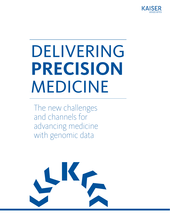

# DELIVERING **PRECISION** MEDICINE

The new challenges and channels for advancing medicine with genomic data

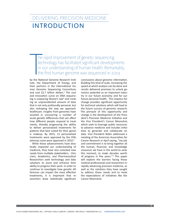# DELIVERING PRECISION MEDICINE INTRODUCTION

he rapid improvement of genetic sequencing technology has facilitated significant developments In our understanding of human health. Remarkably, the first human genome was sequenced in 2003<br>by the National Genome Research Institutional conclusions about genomic information

by the National Genome Research Institute, the Department of Energy, and their partners in the International Human Genome Sequencing Consortium, and cost \$2.7 billion dollars.<sup>1</sup> The cost and innovation curve on DNA sequencing is outpacing Moore's law<sup>2</sup> and creating an unprecedented amount of data that is not only profoundly personal, but also reshaping the way we approach healthcare. Insights from genomes have assisted in uncovering a number of acute genetic differences that can affect how different people respond to treatments, thereby progressing the ability to deliver personalized treatments for patients that best suited for their genetic makeup. By 2015, 13 personalized treatments were approved by the FDA, whereas none were approved in 2010.<sup>3</sup>

While these advancements have drastically impacted our understanding of medicine, they have also unlocked new needs from multiple stakeholders. Clinicians, Academics, and Pharmaceutical Researchers seek technology and data solutions to assist and enhance their ability to progress their work. In order to continue to investigate how genetic differences can impact the most effective treatments, it is important that researchers draw statistically significant

conclusions about genomic information. Building this kind of scale, increasing the speed at which analysis can be done and results delivered promises to unlock genomics potential as an important industry in our future economy and for our future personal health. This impetus for change provides significant opportunity for technical solutions which will lead to the future success of genomic research. The pinnacle of this opportunity and change is the development of the President's Precision Medicine Initiative and the Vice President's Cancer Moonshot, which seek to leverage public resources to advance medicine and includes initiatives to generate and collaborate on data. Vice President Biden addressed a meeting of the American Association for Cancer Research in April saying, "my job and commitment is to bring together all the human, financial, and knowledge resources we have in the world to seize this moment, to make decades worth of progress in five years."4 This paper will explore the barriers facing those medical professionals and researchers in rapidly advancing precision medicine, as well as the solutions they have sought to address those needs and to meet the expectations of initiatives like the Cancer Moonshot.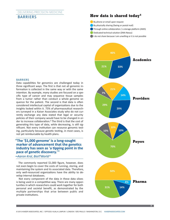## DELIVERING PRECISION MEDICINE BARRIERS





#### BARRIERS

Data capabilities for genomics are challenged today in three significant ways: The first is that not all genomic information is collected in the same way or with the same intention. By example, many studies are focused on a specific type of cancer and may sequence tissue samples from a tumor rather than conduct a whole genome sequence for the patient. The second is that data is often considered intellectual capital of organizations due to the insights locked within it. 75% of pharmaceutical researchers surveyed in a Kaiser Associates study who do not currently exchange any data stated that legal or security policies of their company would have to be changed in order to increase collaboration.<sup>5</sup> The third is that the cost of generating this type of data, while decreasing, is still significant. Not every institution can resource genomic testing, particularly because genetic testing, in most cases, is not yet reimbursable by health plans.

## **"The '\$1,000 genome' is a long-sought marker of advancement that the genetics industry has seen as 'a tipping point in the pace of genetic discovery.'"**

#### **–***Aaron Krol, BioITWorld 6*

The commonly reported \$1,000 figure, however, does not even begin to cover the costs of running, storing, and maintaining the system and its associated data. Therefore, only well-resourced organizations have the ability to develop internal databases.

Not every component of the data in these data siloes is being used in a competitive way. There are many opportunities in which researchers could work together for both personal and societal benefit, as demonstrated by the multiple partnerships that arise between public and private institutions.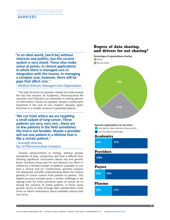## DELIVERING PRECISION MEDICINE BARRIERS

**"In an ideal world, [we'd be] without interests and politics, but the current system is very siloed. These silos make sense at points: In clinical applications in which there is managed care or integration with the insurer. In managing a complex case, however, there will be gaps that affect care."** 

*– Medical Director, Managed Care Organization*

This type of access to a greater sample size ranks among the top two reasons US Academics, Pharmaceutical Researchers and Clinicians are interested in sharing genomics information.5 Access to a greater sample is particularly important in the case of rare "orphan" diseases, given that there is a smaller universe of potential patients.

**"We run trials where we are targeting a small subset of lung cancer. These patients are very, very rare…there are so few patients in the field sometimes the trial is not feasible. Maybe a provider will see one patient in a lifetime that is like a certain patient."** 

#### *– Scientific Director, Top 10 Pharmaceutical Company*

Despite advancements in testing, without greater availability of data, researchers will have a difficult time drawing significant conclusions about any one genetic factor. Similarly, drug trials for rare diseases are often inhibited by a limited number of patients available to conduct a clinical trial on. Furthermore, genomic analysis has deepened scientific understanding about the heterogeneity of cancer tumors from patient to patient. This added accuracy actually poses a similar challenge in designing trials for more prevalent types of cancer by reducing the universe of viable patients. In these cases, greater access to data through data collaboration could serve to inform researchers about available cohorts and vice versa.

## **Degree of data sharing, and drivers for not sharing5**



#### **Reasons organizations do not share**

I am able to share data but choose not to

I am not able to share data

#### **Academics**

| 33%              |     | 67% |  |  |
|------------------|-----|-----|--|--|
| <b>Providers</b> |     |     |  |  |
| 100%             |     |     |  |  |
| <b>Payers</b>    |     |     |  |  |
| 20%              | 80% |     |  |  |
| Pharma           |     |     |  |  |
| 33%              |     | 67% |  |  |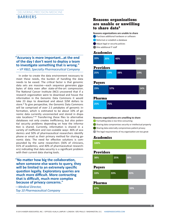## DELIVERING PRECISION MEDICINE BARRIERS

## **"Accuracy is more important…at the end of the day I don't want to deploy a team to investigate something that is wrong."**

*– VP R&D, Specialty Pharmaceutical Company*

In order to create the data environment necessary to meet these needs, the burden of handling the data needs to be eased. The critical factor is that genomic data sets are massive—each sequence generates gigabytes of data even after state-of-the-art compression. The National Cancer Institute (NCI) uncovered that if a research organization were to download and house the information in the Genomic Data Commons it would take 23 days to download and about \$2M dollars to store.8 To give perspective, the Genomic Data Commons will be comprised of over 2.5 petabytes of genomic information, which is estimated to be about 10% of genomic data currently unconnected and stored in disparate locations.9 10 Transferring these files to alternative databases not only creates inefficiency, but also potential security problems depending on how the information is shared. Currently, information is shared in a variety of inefficient and non-scalable ways: 46% of academics and 50% of pharmaceutical researchers identify phone or email as their primary method for sharing genomic data. The need for effective solutions is compounded by the same researchers (56% of clinicians, 41% of academics, and 40% of pharmaceutical researchers) indicating that data security is a significant problem with their current data sharing tools.

**"No matter how big the collaboration, when someone else wants to query, they will be limited to an extremely specific question legally. Exploratory queries are much more difficult. More contracting that is difficult, much more complex because of privacy concerns."** 

*—Medical Director, Top 10 Pharmaceutical Company*

## **Reasons organizations are unable or unwilling to share data5**

**Reasons organizations are unable to share** Purchase additional hardware or software Reformat or establish a database

Adjust legal or security policies

Hire additional IT staff

## **Academics**

| 20%              | 20% | 40% | 20% |  |
|------------------|-----|-----|-----|--|
| <b>Providers</b> |     |     |     |  |
| 25%              | 19% | 38% | 19% |  |
| <b>Payers</b>    |     |     |     |  |
| 29%              | 57% |     | 14% |  |
| <b>Pharma</b>    |     |     |     |  |
| 25%              | 75% |     |     |  |

#### **Reasons organizations are unwilling to share**

**• Formatting data is too time consuming** 

Sharing data compromises security or intellectual property

Sharing data externally compromises patient privacy

The legal requirements of my organization are too great

## **Academics**

**100%**

## **Providers**

| 38% | 25% | 38% |
|-----|-----|-----|
|     |     |     |

#### **Payers**

| 33% | 33% | 33% |
|-----|-----|-----|
|     |     |     |

#### **Pharma**

| 67% | 33% |
|-----|-----|
|     |     |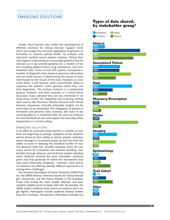## DELIVERING PRECISION MEDICINE EMERGING SOLUTIONS

Finally, these barriers also inhibit the development of effective solutions for Clinical Decision Support (CDS) which will enable the real-time application of genomic information to improve patient health. As analytics and electronic medical record systems improve, Clinical Decision Support is becoming an increasingly powerful tool for clinicians as it can provide guidance on a number of factors including patient history, drug interactions, and even treatment plan. Some current CDS systems incorporate a number of diagnostic tests based on genomic information and can assist doctors in determining the course of treatment based on the results of the tests. However, as costs come down, it will become more economically viable to sequence the patient's entire genome rather than conduct diagnostics. The analysis involved is a complicated process, however, and most clinicians in a recent Kaiser Associates study indicated they are very interested in utilizing these results.<sup>5</sup> By integrating and analyzing existing data sources like Electronic Medical Records with Whole Genome Sequences, clinically actionable insights are far more likely to be developed. The integration of patient information and genomic data, however, will assist in discovering patterns in treatment that can serve as evidence for new standards of care and support the everyday utility of genomics in a clinical setting.

#### EMERGING SOLUTIONS

In an effort to overcome these barriers, a number of solutions are beginning to emerge. Adoption of the solutions will be driven by their ability to deliver greater statistical power through an increased sample size but also have the ability to assist in reducing the analytical burden of massive genomic data sets. Broadly speaking, there are two major arenas for innovation and solutions-building: coordination through alliances and technical solution development. Alliances present the most immediate solutions, given that they generally fit within the frameworks that have been historically employed. However, some technical solutions are offering radically different approaches to solving these challenges.

The American Association of Cancer Research's GENIE Project, the ORIEN Alliance, American Society for Clinical Oncology's CancerLinQ, and the Pistoia Alliance in the European Union rank among the most notable alliances, and each uniquely enables access to larger data sets. By example, the GENIE project combines seven phase one projects into a single registry. Participants include academic medical centers from four countries. The genomic information included cov-

## **Types of data shared, by stakeholder group5**



#### **Clinical**

| 20% |  |
|-----|--|
| 78% |  |
| 88% |  |
| 67% |  |

#### **Anonymized Patient**



## **14%**

| ---------     |  |
|---------------|--|
| 40%           |  |
| V.<br>-1<br>м |  |

| 38% |  |
|-----|--|
| 10% |  |

## **Epidemiology**

| Trail Coho |  |
|------------|--|
| 29%        |  |
| 13%        |  |
| 22%        |  |
| 10%        |  |

#### **Trail Cohort 5%**

| 22% |  |
|-----|--|
|     |  |
|     |  |

**Other 10% 11%**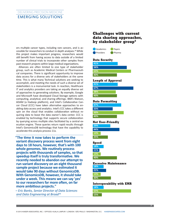## DELIVERING PRECISION MEDICINE EMERGING SOLUTIONS

ers multiple cancer types, including rare cancers, and is accessible for researchers to conduct in depth analyses.12 While this project makes important progress, researchers would still benefit from having access to data outside of a limited number of clinical trials to incorporate other samples from past research projects within large medical organizations.

Alliances are often limited to one type of stakeholder group, such as Academic Medical Centers or Pharmaceutical companies. There is significant opportunity to improve data access for a diverse sets of stakeholders at the same time. This is what many Technical solutions are seeking to accomplish, and meeting the needs of such a diverse set of stakeholders is a monumental task. In reaction, Healthcare IT and analytics providers are taking an equally diverse set of approaches to generating solutions. By example, Google and Microsoft have developed Cloud Storage options with computing, analytical, and sharing offerings. IBM's Watson, ADAM (a Hadoop platform), and Intel's Collaborative Cancer Cloud (CCC) have taken alternative approaches to enabling data access and analytics. Intel's CCC takes a different spin on the cloud that enables collaboration without requiring data to leave the data owner's data center. CCC is enabled by technology that supports secure collaboration by querying across multiple sites facilitated by a central execution engine. These queries return rapid results through Intel's GenomicsDB technology that have the capability to accelerate this analysis process 11x.

**"The time it now takes to perform the variant discovery process went from eight days to 18 hours, however, that's with 100 whole genomes. We routinely process projects with thousands of samples, so that speedup itself is truly transformative. We recently needed to abandon our attempt to run variant discovery on an eight thousand sample project because we estimated it would take 90 days without GenomicsDB. With GenomicsDB, however, it should take under a week. This means we can say 'yes' to our researchers far more often, on far more ambitious projects."** 

*– Eric Banks, Senior Director of Data Sciences and Data Engineering at Broad13*

## **Challenges with current data sharing approaches, by stakeholder group5**



**Interoperability with EMR**

| 18% |  |
|-----|--|
| 63% |  |
| 15% |  |

**30%**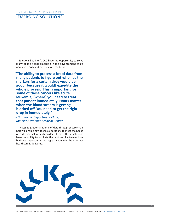## DELIVERING PRECISION MEDICINE EMERGING SOLUTIONS

Solutions like Intel's CCC have the opportunity to solve many of the needs emerging in the advancement of genomic research and personalized medicine.

**"The ability to process a lot of data from many patients to figure out who has the markers for a certain drug would be good [because it would] expedite the whole process. This is important for some of these cancers like acute leukemia, [where] you need to treat that patient immediately. Hours matter when the blood stream is getting blocked off. You need to get the right drug in immediately."**

*– Surgeon & Department Chair, Top Tier Academic Medical Center*

Access to greater amounts of data through secure channels will enable new technical solutions to meet the needs of a diverse set of stakeholders. If met, these solutions have the ability to facilitate the capture of a tremendous business opportunity, and a great change in the way that healthcare is delivered.

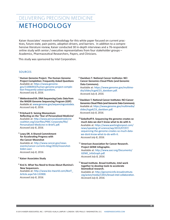# DELIVERING PRECISION MEDICINE METHODOLOGY

Kaiser Associates' research methodology for this white paper focused on current practices, future state, pain points, adoption drivers, and barriers. In addition to a comprehensive literature review, Kaiser conducted 30 in-depth interviews and a 76-respondent online study with senior / executive representatives from four stakeholder groups – Academics, Pharmaceutical Researchers, Payers, and Clinicians.

This study was sponsored by Intel Corporation.

#### **SOURCES**

- <sup>1</sup> Human Genome Project. The Human Genome **Project Completion: Frequently Asked Questions**  Available at: [https://www.genome.](https://www.genome.gov/11006943/human-genome-project-completion-frequently-asked-questions) [gov/11006943/human-genome-project-comple](https://www.genome.gov/11006943/human-genome-project-completion-frequently-asked-questions)[tion-frequently-asked-questions.](https://www.genome.gov/11006943/human-genome-project-completion-frequently-asked-questions)  *Accessed July 8, 2016.*
- ² **Wetterstrand KA. DNA Sequencing Costs: Data from the NHGRI Genome Sequencing Program (GSP)**  Available at: [www.genome.gov/sequencingcostsdata.](http://www.genome.gov/sequencingcostsdata) *Accessed July 8, 2016.*
- ³ **Pritchard D. Seizing Momentum: Reflecting on the 'Year of Personalized Medicine'**  Available at: [http://www.personalizedmedicine](http://www.personalizedmedicine coalition.org/Userfiles/PMC-Corporate/file/Personalized-Medicine-in-Brief1.pdf) [coalition.org/Userfiles/PMC-Corporate/file/](http://www.personalizedmedicine coalition.org/Userfiles/PMC-Corporate/file/Personalized-Medicine-in-Brief1.pdf) [Personalized-Medicine-in-Brief1.pdf.](http://www.personalizedmedicine coalition.org/Userfiles/PMC-Corporate/file/Personalized-Medicine-in-Brief1.pdf) *Accessed July 8, 2016.*
- ⁴ **Lowy DR. A Shared Commitment for Accelerating Progress with the Cancer Moonshot** Available at: [http://www.cancer.gov/news](http://www.cancer.gov/news-events/cancer-currents-blog/2016/moonshot-biden-aacr)[events/cancer-currents-blog/2016/moonshot](http://www.cancer.gov/news-events/cancer-currents-blog/2016/moonshot-biden-aacr)[biden-aacr.](http://www.cancer.gov/news-events/cancer-currents-blog/2016/moonshot-biden-aacr) *Accessed July 8, 2016.*
- ⁵ **Kaiser Associates Study**
- ⁶ **Krol A. What You Need to Know About Illumina's New Sequencers.** Available at: [http://www.bio-itworld.com/BioIT\\_](http://www.bio-itworld.com/BioIT_Article.aspx?id=133900) [Article.aspx?id=133900](http://www.bio-itworld.com/BioIT_Article.aspx?id=133900). *Accessed July 8, 2016.*

⁸ **Davidsen T. National Cancer Institutes: NCI Cancer Genomics Cloud Pilots (and Genomic Data Commons).**  Available at: [https://www.genome.gov/multime](https://www.genome.gov/multimedia/slides/tcga4/23_davidsen.pdf)[dia/slides/tcga4/23\\_davidsen.pdf.](https://www.genome.gov/multimedia/slides/tcga4/23_davidsen.pdf)

*Accessed July 8, 2016.*

- **⁹ Davidsen T. National Cancer Institutes: NCI Cancer Genomics Cloud Pilots (and Genomic Data Commons).** Available at: [https://www.genome.gov/multimedia/](https://www.genome.gov/multimedia/slides/tcga4/23_davidsen.pdf) [slides/tcga4/23\\_davidsen.pdf.](https://www.genome.gov/multimedia/slides/tcga4/23_davidsen.pdf) *Accessed July 8, 2016.*
- **¹⁰ Gebelhoff R. Sequencing the genome creates so much data we don't know what to do with it.** Available at: [https://www.washingtonpost.com/](https://www.washingtonpost.com/news/speaking-of-science/wp/2015/07/07/sequencing-the-genome-creates-so-much-data-we-dont-know-what-to-do-with-it) [news/speaking-of-science/wp/2015/07/07/](https://www.washingtonpost.com/news/speaking-of-science/wp/2015/07/07/sequencing-the-genome-creates-so-much-data-we-dont-know-what-to-do-with-it) [sequencing-the-genome-creates-so-much-data](https://www.washingtonpost.com/news/speaking-of-science/wp/2015/07/07/sequencing-the-genome-creates-so-much-data-we-dont-know-what-to-do-with-it)[we-dont-know-what-to-do-with-it](https://www.washingtonpost.com/news/speaking-of-science/wp/2015/07/07/sequencing-the-genome-creates-so-much-data-we-dont-know-what-to-do-with-it). *Accessed July 8, 2016.*
- <sup>12</sup> American Association for Cancer Research. **Project GENIE Infographic.** Available at: [http://www.aacr.org/Documents/](http://www.aacr.org/Documents/GENIE_InfoGraph.pdf) [GENIE\\_InfoGraph.pdf.](http://www.aacr.org/Documents/GENIE_InfoGraph.pdf) *Accessed July 8, 2016.*
- <sup>13</sup> Broad Institute. Broad Institute, Intel work **together to develop tools to accelerate biomedical research.** Available at: [http://genomicinfo.broadinstitute.](http://genomicinfo.broadinstitute.org/acton/media/13431/broad-intel-collaboration) [org/acton/media/13431/broad-intel-collaboration](http://genomicinfo.broadinstitute.org/acton/media/13431/broad-intel-collaboration). *Accessed July 8, 2016.*